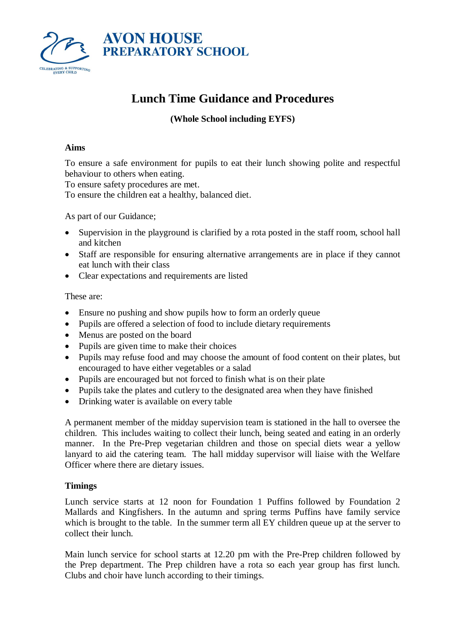

# **Lunch Time Guidance and Procedures**

# **(Whole School including EYFS)**

## **Aims**

To ensure a safe environment for pupils to eat their lunch showing polite and respectful behaviour to others when eating.

To ensure safety procedures are met.

To ensure the children eat a healthy, balanced diet.

As part of our Guidance;

- Supervision in the playground is clarified by a rota posted in the staff room, school hall and kitchen
- Staff are responsible for ensuring alternative arrangements are in place if they cannot eat lunch with their class
- Clear expectations and requirements are listed

These are:

- Ensure no pushing and show pupils how to form an orderly queue
- Pupils are offered a selection of food to include dietary requirements
- Menus are posted on the board
- Pupils are given time to make their choices
- Pupils may refuse food and may choose the amount of food content on their plates, but encouraged to have either vegetables or a salad
- Pupils are encouraged but not forced to finish what is on their plate
- Pupils take the plates and cutlery to the designated area when they have finished
- Drinking water is available on every table

A permanent member of the midday supervision team is stationed in the hall to oversee the children. This includes waiting to collect their lunch, being seated and eating in an orderly manner. In the Pre-Prep vegetarian children and those on special diets wear a yellow lanyard to aid the catering team. The hall midday supervisor will liaise with the Welfare Officer where there are dietary issues.

# **Timings**

Lunch service starts at 12 noon for Foundation 1 Puffins followed by Foundation 2 Mallards and Kingfishers. In the autumn and spring terms Puffins have family service which is brought to the table. In the summer term all EY children queue up at the server to collect their lunch.

Main lunch service for school starts at 12.20 pm with the Pre-Prep children followed by the Prep department. The Prep children have a rota so each year group has first lunch. Clubs and choir have lunch according to their timings.